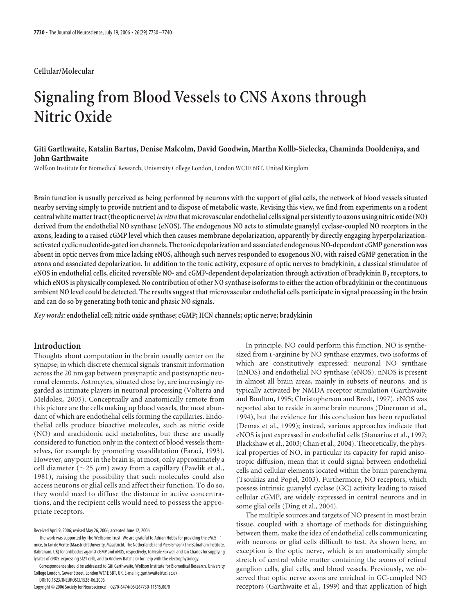# **Cellular/Molecular**

# **Signaling from Blood Vessels to CNS Axons through Nitric Oxide**

# **Giti Garthwaite, Katalin Bartus, Denise Malcolm, David Goodwin, Martha Kollb-Sielecka, Chaminda Dooldeniya, and John Garthwaite**

Wolfson Institute for Biomedical Research, University College London, London WC1E 6BT, United Kingdom

**Brain function is usually perceived as being performed by neurons with the support of glial cells, the network of blood vessels situated nearby serving simply to provide nutrient and to dispose of metabolic waste. Revising this view, we find from experiments on a rodent central white mattertract (the optic nerve)***in vitro* **that microvascular endothelial cells signal persistentlyto axons using nitric oxide (NO) derived from the endothelial NO synthase (eNOS). The endogenous NO acts to stimulate guanylyl cyclase-coupled NO receptors in the axons, leading to a raised cGMP level which then causes membrane depolarization, apparently by directly engaging hyperpolarizationactivated cyclic nucleotide-gatedion channels. Thetonic depolarization and associated endogenous NO-dependent cGMP generation was absent in optic nerves from mice lacking eNOS, although such nerves responded to exogenous NO, with raised cGMP generation in the axons and associated depolarization. In addition to the tonic activity, exposure of optic nerves to bradykinin, a classical stimulator of eNOS in endothelial cells, elicited reversible NO- and cGMP-dependent depolarization through activation of bradykinin B2 receptors, to which eNOS is physically complexed. No contribution of other NO synthase isoforms to either the action of bradykinin or the continuous ambient NO level could be detected. The results suggest that microvascular endothelial cells participate in signal processing in the brain and can do so by generating both tonic and phasic NO signals.**

*Key words:* **endothelial cell; nitric oxide synthase; cGMP; HCN channels; optic nerve; bradykinin**

# **Introduction**

Thoughts about computation in the brain usually center on the synapse, in which discrete chemical signals transmit information across the 20 nm gap between presynaptic and postsynaptic neuronal elements. Astrocytes, situated close by, are increasingly regarded as intimate players in neuronal processing (Volterra and Meldolesi, 2005). Conceptually and anatomically remote from this picture are the cells making up blood vessels, the most abundant of which are endothelial cells forming the capillaries. Endothelial cells produce bioactive molecules, such as nitric oxide (NO) and arachidonic acid metabolites, but these are usually considered to function only in the context of blood vessels themselves, for example by promoting vasodilatation (Faraci, 1993). However, any point in the brain is, at most, only approximately a cell diameter ( $\sim$ 25  $\mu$ m) away from a capillary (Pawlik et al., 1981), raising the possibility that such molecules could also access neurons or glial cells and affect their function. To do so, they would need to diffuse the distance in active concentrations, and the recipient cells would need to possess the appropriate receptors.

DOI:10.1523/JNEUROSCI.1528-06.2006

Copyright © 2006 Society for Neuroscience 0270-6474/06/267730-11\$15.00/0

In principle, NO could perform this function. NO is synthesized from L-arginine by NO synthase enzymes, two isoforms of which are constitutively expressed: neuronal NO synthase (nNOS) and endothelial NO synthase (eNOS). nNOS is present in almost all brain areas, mainly in subsets of neurons, and is typically activated by NMDA receptor stimulation (Garthwaite and Boulton, 1995; Christopherson and Bredt, 1997). eNOS was reported also to reside in some brain neurons (Dinerman et al., 1994), but the evidence for this conclusion has been repudiated (Demas et al., 1999); instead, various approaches indicate that eNOS is just expressed in endothelial cells (Stanarius et al., 1997; Blackshaw et al., 2003; Chan et al., 2004). Theoretically, the physical properties of NO, in particular its capacity for rapid anisotropic diffusion, mean that it could signal between endothelial cells and cellular elements located within the brain parenchyma (Tsoukias and Popel, 2003). Furthermore, NO receptors, which possess intrinsic guanylyl cyclase (GC) activity leading to raised cellular cGMP, are widely expressed in central neurons and in some glial cells (Ding et al., 2004).

The multiple sources and targets of NO present in most brain tissue, coupled with a shortage of methods for distinguishing between them, make the idea of endothelial cells communicating with neurons or glial cells difficult to test. As shown here, an exception is the optic nerve, which is an anatomically simple stretch of central white matter containing the axons of retinal ganglion cells, glial cells, and blood vessels. Previously, we observed that optic nerve axons are enriched in GC-coupled NO receptors (Garthwaite et al., 1999) and that application of high

Received April 9, 2006; revised May 26, 2006; accepted June 12, 2006.

The work was supported by The Wellcome Trust. We are grateful to Adrian Hobbs for providing the *eNOS*-*/* mice, to Jan de Vente (Maastricht Univerity, Maastricht, The Netherlands) and Piers Emson (The Babraham Institute, Babraham, UK) for antibodies against cGMP and nNOS, respectively, to Neale Foxwell and Ian Charles for supplying lysates of eNOS-expressing Sf21 cells, and to Andrew Batchelor for help with the electrophysiology.

Correspondence should be addressed to Giti Garthwaite, Wolfson Institute for Biomedical Research, University College London, Gower Street, London WC1E 6BT, UK. E-mail: g.garthwaite@ucl.ac.uk.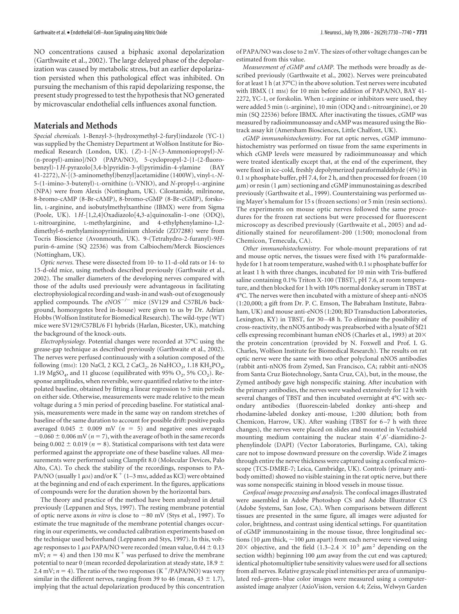NO concentrations caused a biphasic axonal depolarization (Garthwaite et al., 2002). The large delayed phase of the depolarization was caused by metabolic stress, but an earlier depolarization persisted when this pathological effect was inhibited. On pursuing the mechanism of this rapid depolarizing response, the present study progressed to test the hypothesis that NO generated by microvascular endothelial cells influences axonal function.

# **Materials and Methods**

*Special chemicals.* 1-Benzyl-3-(hydroxymethyl-2-furyl)indazole (YC-1) was supplied by the Chemistry Department at Wolfson Institute for Biomedical Research (London, UK). (*Z*)-1-[*N*-(3-Ammoniopropyl)-*N*- (n-propyl)-amino]/NO (PAPA/NO), 5-cyclopropyl-2-{1-(2-fluorobenzyl)-1*H*-pyrazolo[3,4-b]pyridin-3-yl}pyrimidin-4-ylamine (BAY 41-2272), *N*-[(3-aminomethyl)benzyl]acetamidine (1400W), vinyl-L-*N*-5-(1-imino-3-butenyl)-L-ornithine (L-VNIO), and *N*-propyl-L-arginine (NPA) were from Alexis (Nottingham, UK). Cilostamide, milrinone, 8-bromo-cAMP (8-Br-cAMP), 8-bromo-cGMP (8-Br-cGMP), forskolin, L-arginine, and isobutylmethylxanthine (IBMX) were from Sigma (Poole, UK). 1*H*-[1,2,4]Oxadiazolo[4,3-a]quinoxalin-1-one (ODQ), L-nitroarginine, L-methylarginine, and 4-ethylphenylamino-1,2 dimethyl-6-methylaminopyrimidinium chloride (ZD7288) were from Tocris Bioscience (Avonmouth, UK). 9-(Tetrahydro-2-furanyl)-9*H*purin-6-amine (SQ 22536) was from Calbiochem/Merck Biosciences (Nottingham, UK).

*Optic nerves.* These were dissected from 10- to 11-d-old rats or 14- to 15-d-old mice, using methods described previously (Garthwaite et al., 2002). The smaller diameters of the developing nerves compared with those of the adults used previously were advantageous in facilitating electrophysiological recording and wash-in and wash-out of exogenously applied compounds. The eNOS<sup>-/-</sup> mice (SV129 and C57BL/6 background, homozygotes bred in-house) were given to us by Dr. Adrian Hobbs (Wolfson Institute for Biomedical Research). The wild-type (WT) mice were SV129/C57BL/6 F1 hybrids (Harlan, Bicester, UK), matching the background of the knock-outs.

*Electrophysiology.* Potential changes were recorded at 37°C using the grease-gap technique as described previously (Garthwaite et al., 2002). The nerves were perfused continuously with a solution composed of the following (mM): 120 NaCl, 2 KCl, 2 CaCl<sub>2</sub>, 26 NaHCO<sub>3</sub>, 1.18 KH<sub>2</sub>PO<sub>4</sub>, 1.19 MgSO<sub>4</sub>, and 11 glucose (equilibrated with 95% O<sub>2</sub>, 5% CO<sub>2</sub>). Response amplitudes, when reversible, were quantified relative to the interpolated baseline, obtained by fitting a linear regression to 5 min periods on either side. Otherwise, measurements were made relative to the mean voltage during a 5 min period of preceding baseline. For statistical analysis, measurements were made in the same way on random stretches of baseline of the same duration to account for possible drift: positive peaks averaged  $0.045 \pm 0.009$  mV ( $n = 5$ ) and negative ones averaged  $-0.060 \pm 0.006$  mV ( $n = 7$ ), with the average of both in the same records being  $0.002 \pm 0.019$  ( $n = 8$ ). Statistical comparisons with test data were performed against the appropriate one of these baseline values. All measurements were performed using Clampfit 8.0 (Molecular Devices, Palo Alto, CA). To check the stability of the recordings, responses to PA-PA/NO (usually 1  $\mu$ M) and/or K <sup>+</sup> (1–3 mM, added as KCl) were obtained at the beginning and end of each experiment. In the figures, applications of compounds were for the duration shown by the horizontal bars.

The theory and practice of the method have been analyzed in detail previously (Leppanen and Stys, 1997). The resting membrane potential of optic nerve axons *in vitro* is close to -80 mV (Stys et al., 1997). To estimate the true magnitude of the membrane potential changes occurring in our experiments, we conducted calibration experiments based on the technique used beforehand (Leppanen and Stys, 1997). In this, voltage responses to 1  $\mu$ M PAPA/NO were recorded (mean value, 0.44  $\pm$  0.13 mV;  $n = 4$ ) and then 130 mm K<sup>+</sup> was perfused to drive the membrane potential to near 0 (mean recorded depolarization at steady state, 18.9  $\pm$ 2.4 mV;  $n = 4$ ). The ratio of the two responses (K<sup>+</sup>/PAPA/NO) was very similar in the different nerves, ranging from 39 to 46 (mean,  $43 \pm 1.7$ ), implying that the actual depolarization produced by this concentration

of PAPA/NO was close to 2 mV. The sizes of other voltage changes can be estimated from this value.

*Measurement of cGMP and cAMP.* The methods were broadly as described previously (Garthwaite et al., 2002). Nerves were preincubated for at least 1 h (at 37°C) in the above solution. Test nerves were incubated with IBMX (1 mM) for 10 min before addition of PAPA/NO, BAY 41- 2272, YC-1, or forskolin. When L-arginine or inhibitors were used, they were added 5 min (L-arginine), 10 min (ODQ and L-nitroarginine), or 20 min (SQ 22536) before IBMX. After inactivating the tissues, cGMP was measured by radioimmunoassay and cAMP was measured using the Biotrack assay kit (Amersham Biosciences, Little Chalfont, UK).

*cGMP immunohistochemistry.* For rat optic nerves, cGMP immunohistochemistry was performed on tissue from the same experiments in which cGMP levels were measured by radioimmunoassay and which were treated identically except that, at the end of the experiment, they were fixed in ice-cold, freshly depolymerized paraformaldehyde (4%) in 0.1 M phosphate buffer, pH 7.4, for 2 h, and then processed for frozen (10  $\mu$ m) or resin (1  $\mu$ m) sectioning and cGMP immunostaining as described previously (Garthwaite et al., 1999). Counterstaining was performed using Mayer's hemalum for 15 s (frozen sections) or 5 min (resin sections). The experiments on mouse optic nerves followed the same procedures for the frozen rat sections but were processed for fluorescent microscopy as described previously (Garthwaite et al., 2005) and additionally stained for neurofilament-200 (1:500; monoclonal from Chemicon, Temecula, CA).

*Other immunohistochemistry.* For whole-mount preparations of rat and mouse optic nerves, the tissues were fixed with 1% paraformaldehyde for 1 h at room temperature, washed with 0.1 M phosphate buffer for at least 1 h with three changes, incubated for 10 min with Tris-buffered saline containing 0.1% Triton X-100 (TBST), pH 7.6, at room temperature, and then blocked for 1 h with 10% normal donkey serum in TBST at 4°C. The nerves were then incubated with a mixture of sheep anti-nNOS (1:20,000; a gift from Dr. P. C. Emson, The Babraham Institute, Babraham, UK) and mouse anti-eNOS (1:200; BD Transduction Laboratories, Lexington, KY) in TBST, for 30–48 h. To eliminate the possibility of cross-reactivity, the nNOS antibody was preabsorbed with a lysate of Sf21 cells expressing recombinant human eNOS (Charles et al., 1993) at 20 the protein concentration (provided by N. Foxwell and Prof. I. G. Charles, Wolfson Institute for Biomedical Research). The results on rat optic nerve were the same with two other polyclonal nNOS antibodies (rabbit anti-nNOS from Zymed, San Francisco, CA; rabbit anti-nNOS from Santa Cruz Biotechnology, Santa Cruz, CA), but, in the mouse, the Zymed antibody gave high nonspecific staining. After incubation with the primary antibodies, the nerves were washed extensively for 12 h with several changes of TBST and then incubated overnight at 4°C with secondary antibodies (fluorescein-labeled donkey anti-sheep and rhodamine-labeled donkey anti-mouse, 1:200 dilution; both from Chemicon, Harrow, UK). After washing (TBST for 6-7 h with three changes), the nerves were placed on slides and mounted in Vectashield mounting medium containing the nuclear stain 4',6'-diamidino-2phenylindole (DAPI) (Vector Laboratories, Burlingame, CA), taking care not to impose downward pressure on the coverslip. Wide Z images through entire the nerve thickness were captured using a confocal microscope (TCS-DMRE-7; Leica, Cambridge, UK). Controls (primary antibody omitted) showed no visible staining in the rat optic nerve, but there was some nonspecific staining in blood vessels in mouse tissue.

*Confocal image processing and analysis.* The confocal images illustrated were assembled in Adobe Photoshop CS and Adobe Illustrator CS (Adobe Systems, San Jose, CA). When comparisons between different tissues are presented in the same figure, all images were adjusted for color, brightness, and contrast using identical settings. For quantitation of cGMP immunostaining in the mouse tissue, three longitudinal sections (10  $\mu$ m thick, ~100  $\mu$ m apart) from each nerve were viewed using 20  $\times$  objective, and the field (1.3–2.4  $\times$  10<sup>5</sup>  $\mu$ m<sup>2</sup> depending on the section width) beginning 100  $\mu$ m away from the cut end was captured; identical photomultiplier tube sensitivity values were used for all sections from all nerves. Relative grayscale pixel intensities per area of unmanipulated red– green– blue color images were measured using a computerassisted image analyzer (AxioVision, version 4.4; Zeiss, Welwyn Garden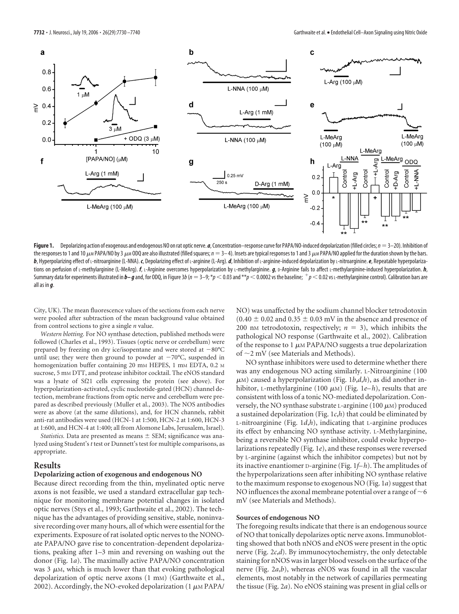

Figure 1. Depolarizing action of exogenous and endogenous NO on rat optic nerve. *a*, Concentration–response curve for PAPA/NO-induced depolarization (filled circles;  $n = 3-20$ ). Inhibition of the responses to 1 and 10  $\mu$ M PAPA/NO by 3  $\mu$ M ODQ are also illustrated (filled squares;  $n = 3-4$ ). Insets are typical responses to 1 and 3  $\mu$ M PAPA/NO applied for the duration shown by the bars. b, Hyperpolarizing effect of L-nitroarginine (L-NNA). c, Depolarizing effect of L-arginine (L-Arg). d, Inhibition of L-arginine-induced depolarization by L-nitroarginine. e, Repeatable hyperpolarizations on perfusion of L-methylarginine (L-MeArg). *f*, L-Arginine overcomes hyperpolarization by L-methylarginine. *g*, D-Arginine fails to affect L-methylarginine-induced hyperpolarization. *h*, Summary data for experiments illustrated in  $b-g$  and, for ODQ, in Figure 3b ( $n=3-9; *p< 0.03$  and  $**p< 0.0002$  vs the baseline;  $^+p< 0.02$  vs L-methylarginine control). Calibration bars are all as in *g*.

City, UK). The mean fluorescence values of the sections from each nerve were pooled after subtraction of the mean background value obtained from control sections to give a single *n* value.

*Western blotting.* For NO synthase detection, published methods were followed (Charles et al., 1993). Tissues (optic nerve or cerebellum) were prepared by freezing on dry ice/isopentane and were stored at  $-80^{\circ}$ C until use; they were then ground to powder at  $-70^{\circ}$ C, suspended in homogenization buffer containing 20 mm HEPES, 1 mm EDTA, 0.2 m sucrose, 5 mm DTT, and protease inhibitor cocktail. The eNOS standard was a lysate of Sf21 cells expressing the protein (see above). For hyperpolarization-activated, cyclic nucleotide-gated (HCN) channel detection, membrane fractions from optic nerve and cerebellum were prepared as described previously (Muller et al., 2003). The NOS antibodies were as above (at the same dilutions), and, for HCN channels, rabbit anti-rat antibodies were used (HCN-1 at 1:500, HCN-2 at 1:600, HCN-3 at 1:600, and HCN-4 at 1:400; all from Alomone Labs, Jerusalem, Israel).

*Statistics.* Data are presented as means  $\pm$  SEM; significance was analyzed using Student's*t* test or Dunnett's test for multiple comparisons, as appropriate.

## **Results**

#### **Depolarizing action of exogenous and endogenous NO**

Because direct recording from the thin, myelinated optic nerve axons is not feasible, we used a standard extracellular gap technique for monitoring membrane potential changes in isolated optic nerves (Stys et al., 1993; Garthwaite et al., 2002). The technique has the advantages of providing sensitive, stable, noninvasive recording over many hours, all of which were essential for the experiments. Exposure of rat isolated optic nerves to the NONOate PAPA/NO gave rise to concentration-dependent depolarizations, peaking after 1–3 min and reversing on washing out the donor (Fig. 1*a*). The maximally active PAPA/NO concentration was  $3 \mu$ M, which is much lower than that evoking pathological depolarization of optic nerve axons (1 mm) (Garthwaite et al., 2002). Accordingly, the NO-evoked depolarization  $(1 \mu M PAPA/$ 

NO) was unaffected by the sodium channel blocker tetrodotoxin  $(0.40 \pm 0.02$  and  $0.35 \pm 0.03$  mV in the absence and presence of 200 nm tetrodotoxin, respectively;  $n = 3$ ), which inhibits the pathological NO response (Garthwaite et al., 2002). Calibration of the response to 1  $\mu$ M PAPA/NO suggests a true depolarization of  $\sim$ 2 mV (see Materials and Methods).

NO synthase inhibitors were used to determine whether there was any endogenous NO acting similarly. L-Nitroarginine (100  $\mu$ <sub>M</sub>) caused a hyperpolarization (Fig. 1*b*,*d*,*h*), as did another inhibitor, L-methylarginine (100  $\mu$ M) (Fig. 1*e–h*), results that are consistent with loss of a tonic NO-mediated depolarization. Conversely, the NO synthase substrate L-arginine (100  $\mu$ M) produced a sustained depolarization (Fig. 1*c*,*h*) that could be eliminated by L-nitroarginine (Fig. 1*d*,*h*), indicating that L-arginine produces its effect by enhancing NO synthase activity. L-Methylarginine, being a reversible NO synthase inhibitor, could evoke hyperpolarizations repeatedly (Fig. 1*e*), and these responses were reversed by L-arginine (against which the inhibitor competes) but not by its inactive enantiomer D-arginine (Fig. 1*f– h*). The amplitudes of the hyperpolarizations seen after inhibiting NO synthase relative to the maximum response to exogenous NO (Fig. 1*a*) suggest that NO influences the axonal membrane potential over a range of  $\sim$  6 mV (see Materials and Methods).

#### **Sources of endogenous NO**

The foregoing results indicate that there is an endogenous source of NO that tonically depolarizes optic nerve axons. Immunoblotting showed that both nNOS and eNOS were present in the optic nerve (Fig. 2*c*,*d*). By immunocytochemistry, the only detectable staining for nNOS was in larger blood vessels on the surface of the nerve (Fig. 2*a*,*b*), whereas eNOS was found in all the vascular elements, most notably in the network of capillaries permeating the tissue (Fig. 2*a*). No eNOS staining was present in glial cells or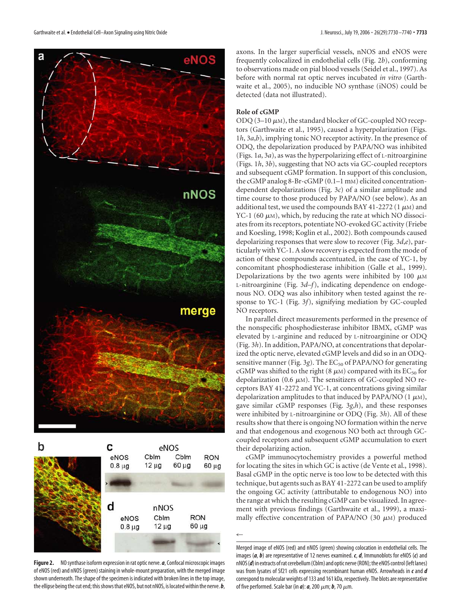



Figure 2. NO synthase isoform expression in rat optic nerve. *a*, Confocal microscopic images of eNOS (red) and nNOS (green) staining in whole-mount preparation, with the merged image shown underneath. The shape of the specimen is indicated with broken lines in the top image, the ellipse being the cut end; this shows that eNOS, but not nNOS, is located within the nerve. *b*,

axons. In the larger superficial vessels, nNOS and eNOS were frequently colocalized in endothelial cells (Fig. 2*b*), conforming to observations made on pial blood vessels (Seidel et al., 1997). As before with normal rat optic nerves incubated *in vitro* (Garthwaite et al., 2005), no inducible NO synthase (iNOS) could be detected (data not illustrated).

#### **Role of cGMP**

ODQ (3-10  $\mu$ M), the standard blocker of GC-coupled NO receptors (Garthwaite et al., 1995), caused a hyperpolarization (Figs. 1*h*, 3*a*,*b*), implying tonic NO receptor activity. In the presence of ODQ, the depolarization produced by PAPA/NO was inhibited (Figs. 1*a*, 3*a*), as was the hyperpolarizing effect of L-nitroarginine (Figs. 1*h*, 3*b*), suggesting that NO acts via GC-coupled receptors and subsequent cGMP formation. In support of this conclusion, the cGMP analog 8-Br-cGMP (0.1–1 mM) elicited concentrationdependent depolarizations (Fig. 3*c*) of a similar amplitude and time course to those produced by PAPA/NO (see below). As an additional test, we used the compounds BAY 41-2272 (1  $\mu$ M) and YC-1 (60  $\mu$ M), which, by reducing the rate at which NO dissociates from its receptors, potentiate NO-evoked GC activity (Friebe and Koesling, 1998; Koglin et al., 2002). Both compounds caused depolarizing responses that were slow to recover (Fig. 3*d*,*e*), particularly with YC-1. A slow recovery is expected from the mode of action of these compounds accentuated, in the case of YC-1, by concomitant phosphodiesterase inhibition (Galle et al., 1999). Depolarizations by the two agents were inhibited by 100  $\mu$ M L-nitroarginine (Fig. 3*d–f*), indicating dependence on endogenous NO. ODQ was also inhibitory when tested against the response to YC-1 (Fig. 3*f*), signifying mediation by GC-coupled NO receptors.

In parallel direct measurements performed in the presence of the nonspecific phosphodiesterase inhibitor IBMX, cGMP was elevated by L-arginine and reduced by L-nitroarginine or ODQ (Fig. 3*h*). In addition, PAPA/NO, at concentrations that depolarized the optic nerve, elevated cGMP levels and did so in an ODQsensitive manner (Fig. 3g). The EC<sub>50</sub> of PAPA/NO for generating cGMP was shifted to the right (8  $\mu$ M) compared with its EC<sub>50</sub> for depolarization (0.6  $\mu$ M). The sensitizers of GC-coupled NO receptors BAY 41-2272 and YC-1, at concentrations giving similar depolarization amplitudes to that induced by PAPA/NO  $(1 \mu M)$ , gave similar cGMP responses (Fig. 3*g*,*h*), and these responses were inhibited by L-nitroarginine or ODQ (Fig. 3*h*). All of these results show that there is ongoing NO formation within the nerve and that endogenous and exogenous NO both act through GCcoupled receptors and subsequent cGMP accumulation to exert their depolarizing action.

cGMP immunocytochemistry provides a powerful method for locating the sites in which GC is active (de Vente et al., 1998). Basal cGMP in the optic nerve is too low to be detected with this technique, but agents such as BAY 41-2272 can be used to amplify the ongoing GC activity (attributable to endogenous NO) into the range at which the resulting cGMP can be visualized. In agreement with previous findings (Garthwaite et al., 1999), a maximally effective concentration of PAPA/NO (30  $\mu$ M) produced

 $\leftarrow$ 

Merged image of eNOS (red) and nNOS (green) showing colocation in endothelial cells. The images (*a*, *b*) are representative of 12 nerves examined. *c*, *d*, Immunoblots for eNOS (*c*) and nNOS (d) in extracts of rat cerebellum (Cblm) and optic nerve (RON); the eNOS control (left lanes) was from lysates of Sf21 cells expressing recombinant human eNOS. Arrowheads in *c* and *d* correspond to molecular weights of 133 and 161 kDa, respectively. The blots are representative of five performed. Scale bar (in  $\boldsymbol{a}$ ):  $\boldsymbol{a}$ , 200  $\mu$ m;  $\boldsymbol{b}$ , 70  $\mu$ m.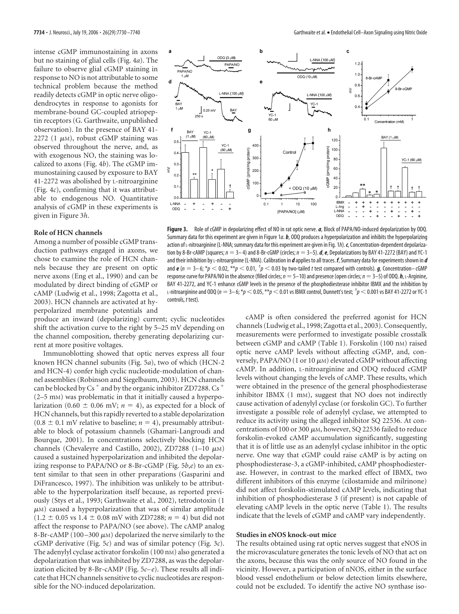intense cGMP immunostaining in axons but no staining of glial cells (Fig. 4*a*). The failure to observe glial cGMP staining in response to NO is not attributable to some technical problem because the method readily detects cGMP in optic nerve oligodendrocytes in response to agonists for membrane-bound GC-coupled atriopeptin receptors (G. Garthwaite, unpublished observation). In the presence of BAY 41- 2272 (1  $\mu$ M), robust cGMP staining was observed throughout the nerve, and, as with exogenous NO, the staining was localized to axons (Fig. 4*b*). The cGMP immunostaining caused by exposure to BAY 41-2272 was abolished by L-nitroarginine (Fig. 4*c*), confirming that it was attributable to endogenous NO. Quantitative analysis of cGMP in these experiments is given in Figure 3*h*.

#### **Role of HCN channels**

Among a number of possible cGMP transduction pathways engaged in axons, we chose to examine the role of HCN channels because they are present on optic nerve axons (Eng et al., 1990) and can be modulated by direct binding of cGMP or cAMP (Ludwig et al., 1998; Zagotta et al., 2003). HCN channels are activated at hyperpolarized membrane potentials and

produce an inward (depolarizing) current; cyclic nucleotides shift the activation curve to the right by 5–25 mV depending on the channel composition, thereby generating depolarizing current at more positive voltages.

Immunoblotting showed that optic nerves express all four known HCN channel subunits (Fig. 5*a*), two of which (HCN-2 and HCN-4) confer high cyclic nucleotide-modulation of channel assemblies (Robinson and Siegelbaum, 2003). HCN channels can be blocked by Cs<sup>+</sup> and by the organic inhibitor ZD7288. Cs<sup>+</sup> (2–5 mM) was problematic in that it initially caused a hyperpolarization (0.60  $\pm$  0.06 mV; *n* = 4), as expected for a block of HCN channels, but this rapidly reverted to a stable depolarization  $(0.8 \pm 0.1 \text{ mV}$  relative to baseline;  $n = 4$ ), presumably attributable to block of potassium channels (Ghamari-Langroudi and Bourque, 2001). In concentrations selectively blocking HCN channels (Chevaleyre and Castillo, 2002), ZD7288 (1-10  $\mu$ M) caused a sustained hyperpolarization and inhibited the depolarizing response to PAPA/NO or 8-Br-cGMP (Fig. 5*b*,*e*) to an extent similar to that seen in other preparations (Gasparini and DiFrancesco, 1997). The inhibition was unlikely to be attributable to the hyperpolarization itself because, as reported previously (Stys et al., 1993; Garthwaite et al., 2002), tetrodotoxin (1  $\mu$ M) caused a hyperpolarization that was of similar amplitude  $(1.2 \pm 0.05 \text{ vs } 1.4 \pm 0.08 \text{ mV with ZD7288}; n = 4)$  but did not affect the response to PAPA/NO (see above). The cAMP analog 8-Br-cAMP (100-300  $\mu$ M) depolarized the nerve similarly to the cGMP derivative (Fig. 5*c*) and was of similar potency (Fig. 3*c*). The adenylyl cyclase activator forskolin (100 nM) also generated a depolarization that was inhibited by ZD7288, as was the depolarization elicited by 8-Br-cAMP (Fig. 5*c– e*). These results all indicate that HCN channels sensitive to cyclic nucleotides are responsible for the NO-induced depolarization.



**Figure 3.** Role of cGMP in depolarizing effect of NO in rat optic nerve. *a*, Block of PAPA/NO-induced depolarization by ODQ. Summary data for this experiment are given in Figure 1*a*. *b*, ODQ produces a hyperpolarization and inhibits the hyperpolarizing action of L-nitroarginine (L-NNA; summary data for this experiment are given in Fig. 1h). *c*, Concentration-dependent depolarization by 8-Br-cAMP (squares;*n* 3– 4) and 8-Br-cGMP (circles;*n* 3–5). *d*,*e*, Depolarizations by BAY 41-2272 (BAY) and YC-1 and their inhibition by L-nitroarginine (L-NNA). Calibration in *d* applies to all traces. *f*, Summary data for experiments shown in *d* and  $e$  ( $n=3-6;$   $*p< 0.02,$   $**p< 0.01,$   $^{\dagger}p< 0.03$  by two-tailed  $t$  test compared with controls).  $g$ , Concentration– cGMP response curve for PAPA/NO in the absence (filled circles;  $n = 5-10$ ) and presence (open circles;  $n = 3-5$ ) of ODQ.  $h$ , L-Arginine, BAY 41-2272, and YC-1 enhance cGMP levels in the presence of the phosphodiesterase inhibitor IBMX and the inhibition by L-nitroarginine and ODQ (*n* 3– 6; \**p* 0.05, \*\**p* 0.01 vs IBMX control, Dunnett's test; † *p* 0.001 vs BAY 41-2272 or YC-1 controls, *t* test).

cAMP is often considered the preferred agonist for HCN channels (Ludwig et al., 1998; Zagotta et al., 2003). Consequently, measurements were performed to investigate possible crosstalk between cGMP and cAMP (Table 1). Forskolin (100 nm) raised optic nerve cAMP levels without affecting cGMP, and, conversely, PAPA/NO (1 or 10  $\mu$ M) elevated cGMP without affecting cAMP. In addition, L-nitroarginine and ODQ reduced cGMP levels without changing the levels of cAMP. These results, which were obtained in the presence of the general phosphodiesterase inhibitor IBMX (1 mM), suggest that NO does not indirectly cause activation of adenylyl cyclase (or forskolin GC). To further investigate a possible role of adenylyl cyclase, we attempted to reduce its activity using the alleged inhibitor SQ 22536. At concentrations of 100 or 300  $\mu$ M, however, SQ 22536 failed to reduce forskolin-evoked cAMP accumulation significantly, suggesting that it is of little use as an adenylyl cyclase inhibitor in the optic nerve. One way that cGMP could raise cAMP is by acting on phosphodiesterase-3, a cGMP-inhibited, cAMP phosphodiesterase. However, in contrast to the marked effect of IBMX, two different inhibitors of this enzyme (cilostamide and milrinone) did not affect forskolin-stimulated cAMP levels, indicating that inhibition of phosphodiesterase 3 (if present) is not capable of elevating cAMP levels in the optic nerve (Table 1). The results indicate that the levels of cGMP and cAMP vary independently.

## **Studies in eNOS knock-out mice**

The results obtained using rat optic nerves suggest that eNOS in the microvasculature generates the tonic levels of NO that act on the axons, because this was the only source of NO found in the vicinity. However, a participation of nNOS, either in the surface blood vessel endothelium or below detection limits elsewhere, could not be excluded. To identify the active NO synthase iso-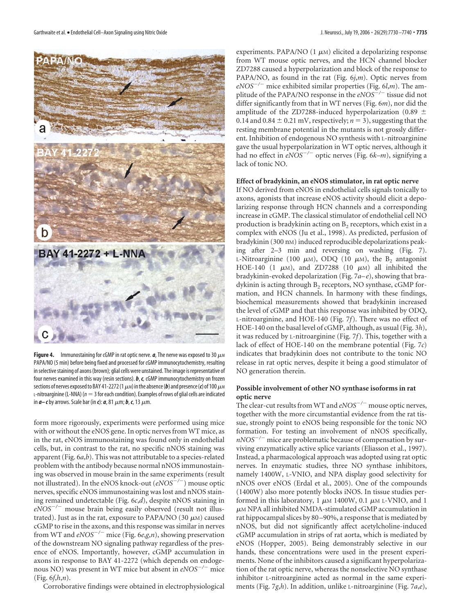

**Figure 4.** Immunostaining for cGMP in rat optic nerve.  $a$ , The nerve was exposed to 30  $\mu$ MM PAPA/NO (5 min) before being fixed and processed for cGMP immunocytochemistry, resulting in selective staining of axons (brown); glial cells were unstained. The image is representative of four nerves examined in this way (resin sections). *b*, *c,* cGMP immunocytochemistry on frozen sections of nerves exposed to BAY 41-2272 (1  $\mu$ m) in the absence (**b**) and presence (**c**) of 100  $\mu$ m  $L$ -nitroarginine (L-NNA) ( $n=3$  for each condition). Examples of rows of glial cells are indicated in  $a - c$  by arrows. Scale bar (in *c*):  $a$ , 81  $\mu$ m;  $b$ ,  $c$ , 13  $\mu$ m.

form more rigorously, experiments were performed using mice with or without the eNOS gene. In optic nerves from WT mice, as in the rat, eNOS immunostaining was found only in endothelial cells, but, in contrast to the rat, no specific nNOS staining was apparent (Fig. 6*a*,*b*). This was not attributable to a species-related problem with the antibody because normal nNOS immunostaining was observed in mouse brain in the same experiments (result not illustrated). In the eNOS knock-out (*eNOS*-*/*-) mouse optic nerves, specific eNOS immunostaining was lost and nNOS staining remained undetectable (Fig. 6*c*,*d*), despite nNOS staining in *eNOS*-*/*- mouse brain being easily observed (result not illustrated). Just as in the rat, exposure to PAPA/NO (30  $\mu$ M) caused cGMP to rise in the axons, and this response was similar in nerves from WT and *eNOS*-*/*- mice (Fig. 6*e*,*g*,*n*), showing preservation of the downstream NO signaling pathway regardless of the presence of eNOS. Importantly, however, cGMP accumulation in axons in response to BAY 41-2272 (which depends on endogenous NO) was present in WT mice but absent in *eNOS*-*/*- mice (Fig. 6*f*,*h*,*n*).

Corroborative findings were obtained in electrophysiological

experiments. PAPA/NO  $(1 \mu M)$  elicited a depolarizing response from WT mouse optic nerves, and the HCN channel blocker ZD7288 caused a hyperpolarization and block of the response to PAPA/NO, as found in the rat (Fig. 6*j*,*m*). Optic nerves from *eNOS*-*/*- mice exhibited similar properties (Fig. 6*l*,*m*). The amplitude of the PAPA/NO response in the *eNOS*-*/*- tissue did not differ significantly from that in WT nerves (Fig. 6*m*), nor did the amplitude of the ZD7288-induced hyperpolarization (0.89  $\pm$ 0.14 and  $0.84 \pm 0.21$  mV, respectively;  $n = 3$ ), suggesting that the resting membrane potential in the mutants is not grossly different. Inhibition of endogenous NO synthesis with L-nitroarginine gave the usual hyperpolarization in WT optic nerves, although it had no effect in *eNOS*-*/*- optic nerves (Fig. 6*k–m*), signifying a lack of tonic NO.

## **Effect of bradykinin, an eNOS stimulator, in rat optic nerve**

If NO derived from eNOS in endothelial cells signals tonically to axons, agonists that increase eNOS activity should elicit a depolarizing response through HCN channels and a corresponding increase in cGMP. The classical stimulator of endothelial cell NO production is bradykinin acting on  $B_2$  receptors, which exist in a complex with eNOS (Ju et al., 1998). As predicted, perfusion of bradykinin (300 nM) induced reproducible depolarizations peaking after 2–3 min and reversing on washing (Fig. 7). L-Nitroarginine (100  $\mu$ M), ODQ (10  $\mu$ M), the B<sub>2</sub> antagonist HOE-140 (1  $\mu$ M), and ZD7288 (10  $\mu$ M) all inhibited the bradykinin-evoked depolarization (Fig. 7*a– e*), showing that bradykinin is acting through  $B_2$  receptors, NO synthase, cGMP formation, and HCN channels. In harmony with these findings, biochemical measurements showed that bradykinin increased the level of cGMP and that this response was inhibited by ODQ, L-nitroarginine, and HOE-140 (Fig. 7*f*). There was no effect of HOE-140 on the basal level of cGMP, although, as usual (Fig. 3*h*), it was reduced by L-nitroarginine (Fig. 7*f*). This, together with a lack of effect of HOE-140 on the membrane potential (Fig. 7*c*) indicates that bradykinin does not contribute to the tonic NO release in rat optic nerves, despite it being a good stimulator of NO generation therein.

# **Possible involvement of other NO synthase isoforms in rat optic nerve**

The clear-cut results from WT and *eNOS*-*/*- mouse optic nerves, together with the more circumstantial evidence from the rat tissue, strongly point to eNOS being responsible for the tonic NO formation. For testing an involvement of nNOS specifically, *nNOS*-*/*- mice are problematic because of compensation by surviving enzymatically active splice variants (Eliasson et al., 1997). Instead, a pharmacological approach was adopted using rat optic nerves. In enzymatic studies, three NO synthase inhibitors, namely 1400W, L-VNIO, and NPA display good selectivity for nNOS over eNOS (Erdal et al., 2005). One of the compounds (1400W) also more potently blocks iNOS. In tissue studies performed in this laboratory, 1  $\mu$ M 1400W, 0.1  $\mu$ M L-VNIO, and 1  $\mu$ M NPA all inhibited NMDA-stimulated cGMP accumulation in rat hippocampal slices by 80 –90%, a response that is mediated by nNOS, but did not significantly affect acetylcholine-induced cGMP accumulation in strips of rat aorta, which is mediated by eNOS (Hopper, 2005). Being demonstrably selective in our hands, these concentrations were used in the present experiments. None of the inhibitors caused a significant hyperpolarization of the rat optic nerve, whereas the nonselective NO synthase inhibitor L-nitroarginine acted as normal in the same experiments (Fig. 7*g*,*h*). In addition, unlike L-nitroarginine (Fig. 7*a*,*e*),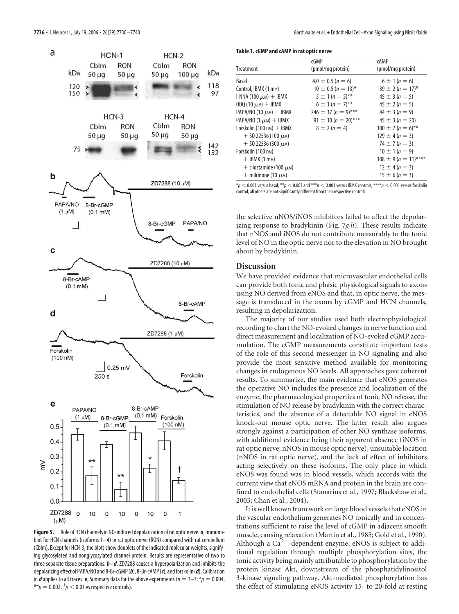

**Figure 5.** Role of HCN channels in NO-induced depolarization of rat optic nerve. *a*, Immunoblot for HCN channels (isoforms 1– 4) in rat optic nerve (RON) compared with rat cerebellum (Cblm). Except for HCN-3, the blots show doublets of the indicated molecular weights, signifying glycosylated and nonglycosylated channel protein. Results are representative of two to three separate tissue preparations. *b– d*, ZD7288 causes a hyperpolarization and inhibits the depolarizing effect of PAPA/NO and 8-Br-cGMP(*b*), 8-Br-cAMP(*c*), andforskolin(*d*). Calibration in *d* applies to all traces. *e*, Summary data for the above experiments ( $n = 3-7$ ; \* $p = 0.004$ ,  $A^{**}p = 0.002$ ,  $^{\dagger}p < 0.01$  vs respective controls).

|                                         | cGMP                     | cAMP                      |
|-----------------------------------------|--------------------------|---------------------------|
| <b>Treatment</b>                        | (pmol/mg protein)        | (pmol/mg protein)         |
| Basal                                   | $4.0 \pm 0.5$ (n = 6)    | $6 \pm 1 (n = 6)$         |
| Control; IBMX (1 mм)                    | $10 \pm 0.5$ (n = 13)*   | $39 \pm 2 (n = 17)^{*}$   |
| I-NNA (100 $\mu$ m) + IBMX              | $5 \pm 1 (n = 5)$ **     | $45 \pm 3 (n = 5)$        |
| ODQ (10 $\mu$ m) + IBMX                 | $6 \pm 1 (n = 7)$ **     | $45 \pm 2 (n = 5)$        |
| $PAPA/NO (10 \ \mu m) + IBMX$           | $246 \pm 37 (n = 9)$ *** | $44 \pm 3 (n = 9)$        |
| $PAPA/NO (1 \mu M) + IBMX$              | $91 \pm 10 (n = 20)$ *** | $45 \pm 3 (n = 20)$       |
| Forskolin (100 nm) + IBMX               | $8 \pm 2 (n = 4)$        | $100 \pm 7 (n = 6)$ **    |
| $+$ SQ 22536 (100 $\mu$ m)              |                          | $129 \pm 4 (n = 3)$       |
| $+$ SQ 22536 (300 $\mu$ m)              |                          | $74 \pm 7 (n = 3)$        |
| Forskolin (100 nм)                      |                          | $10 \pm 1 (n = 9)$        |
| $+$ IBMX (1 m <sub>M</sub> )            |                          | $108 \pm 9 (n = 11)$ **** |
| + cilostamide (100 $\mu$ <sub>M</sub> ) |                          | $12 \pm 4 (n = 3)$        |
| + milrinone (10 $\mu$ M)                |                          | $15 \pm 6 (n = 3)$        |

 $*p < 0.001$  versus basal;  $**p < 0.003$  and  $***p < 0.001$  versus IBMX controls;  $***p < 0.001$  versus forskolin control; all others are not significantly different from their respective controls.

the selective nNOS/iNOS inhibitors failed to affect the depolarizing response to bradykinin (Fig. 7*g*,*h*). These results indicate that nNOS and iNOS do not contribute measurably to the tonic level of NO in the optic nerve nor to the elevation in NO brought about by bradykinin.

## **Discussion**

We have provided evidence that microvascular endothelial cells can provide both tonic and phasic physiological signals to axons using NO derived from eNOS and that, in optic nerve, the message is transduced in the axons by cGMP and HCN channels, resulting in depolarization.

The majority of our studies used both electrophysiological recording to chart the NO-evoked changes in nerve function and direct measurement and localization of NO-evoked cGMP accumulation. The cGMP measurements constitute important tests of the role of this second messenger in NO signaling and also provide the most sensitive method available for monitoring changes in endogenous NO levels. All approaches gave coherent results. To summarize, the main evidence that eNOS generates the operative NO includes the presence and localization of the enzyme, the pharmacological properties of tonic NO release, the stimulation of NO release by bradykinin with the correct characteristics, and the absence of a detectable NO signal in eNOS knock-out mouse optic nerve. The latter result also argues strongly against a participation of other NO synthase isoforms, with additional evidence being their apparent absence (iNOS in rat optic nerve; nNOS in mouse optic nerve), unsuitable location (nNOS in rat optic nerve), and the lack of effect of inhibitors acting selectively on these isoforms. The only place in which eNOS was found was in blood vessels, which accords with the current view that eNOS mRNA and protein in the brain are confined to endothelial cells (Stanarius et al., 1997; Blackshaw et al., 2003; Chan et al., 2004).

It is well known from work on large blood vessels that eNOS in the vascular endothelium generates NO tonically and in concentrations sufficient to raise the level of cGMP in adjacent smooth muscle, causing relaxation (Martin et al., 1985; Gold et al., 1990). Although a  $Ca<sup>2+</sup>$ -dependent enzyme, eNOS is subject to additional regulation through multiple phosphorylation sites, the tonic activity being mainly attributable to phosphorylation by the protein kinase Akt, downstream of the phosphatidylinositol 3-kinase signaling pathway. Akt-mediated phosphorylation has the effect of stimulating eNOS activity 15- to 20-fold at resting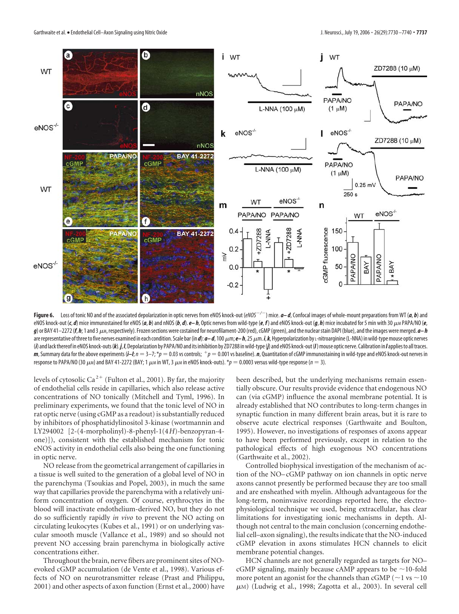

Figure 6. Loss of tonic NO and of the associated depolarization in optic nerves from eNOS knock-out (*eNOS*  $^{-/-}$  ) mice.  $a$  – d, Confocal images of whole-mount preparations from WT (a, b) and eNOS knock-out (c, d) mice immunostained for eNOS (a, b) and nNOS (b, d). e-h, Optic nerves from wild-type (e, f) and eNOS knock-out (g, h) mice incubated for 5 min with 30  $\mu$ M PAPA/NO (e, g) or BAY 41–2272 (*f, h*; 1 and 3 μ<sub>M</sub>, respectively). Frozen sections were costained for neurofilament-200 (red), GMP (green), and the nuclear stain DAPI (blue), and the images were merged. *a*–*h* are representative of three to five nerves examined in each condition. Scale bar (in *d*): *a*– *d*, 100 μm; *e– h*, 25 μm. *i*, *k*, Hyperpolarization by ι-nitroarginine (L-NNA) in wild-type mouse optic nerves (i) and lack thereof in eNOS knock-outs (k). j, I, Depolarization by PAPA/NO and its inhibition by ZD7288 in wild-type (j) and eNOS knock-out (I) mouse optic nerve. Calibration in I applies to all traces. *m*, Summary data for the above experiments (*i–l*;  $n = 3-7$ ;  $p = 0.03$  vs controls;  $+p = 0.001$  vs baseline). *n*, Quantitation of cGMP immunostaining in wild-type and eNOS knock-out nerves in response to PAPA/NO (30  $\mu$ m) and BAY 41-2272 (BAY; 1  $\mu$ m in WT, 3  $\mu$ m in eNOS knock-outs). \* $p = 0.0003$  versus wild-type response ( $n = 3$ ).

levels of cytosolic Ca<sup>2+</sup> (Fulton et al., 2001). By far, the majority of endothelial cells reside in capillaries, which also release active concentrations of NO tonically (Mitchell and Tyml, 1996). In preliminary experiments, we found that the tonic level of NO in rat optic nerve (using cGMP as a readout) is substantially reduced by inhibitors of phosphatidylinositol 3-kinase (wortmannin and LY294002 [2-(4-morpholinyl)-8-phenyl-1(4*H*)-benzopyran-4 one)]), consistent with the established mechanism for tonic eNOS activity in endothelial cells also being the one functioning in optic nerve.

NO release from the geometrical arrangement of capillaries in a tissue is well suited to the generation of a global level of NO in the parenchyma (Tsoukias and Popel, 2003), in much the same way that capillaries provide the parenchyma with a relatively uniform concentration of oxygen. Of course, erythrocytes in the blood will inactivate endothelium-derived NO, but they do not do so sufficiently rapidly *in vivo* to prevent the NO acting on circulating leukocytes (Kubes et al., 1991) or on underlying vascular smooth muscle (Vallance et al., 1989) and so should not prevent NO accessing brain parenchyma in biologically active concentrations either.

Throughout the brain, nerve fibers are prominent sites of NOevoked cGMP accumulation (de Vente et al., 1998). Various effects of NO on neurotransmitter release (Prast and Philippu, 2001) and other aspects of axon function (Ernst et al., 2000) have been described, but the underlying mechanisms remain essentially obscure. Our results provide evidence that endogenous NO can (via cGMP) influence the axonal membrane potential. It is already established that NO contributes to long-term changes in synaptic function in many different brain areas, but it is rare to observe acute electrical responses (Garthwaite and Boulton, 1995). However, no investigations of responses of axons appear to have been performed previously, except in relation to the pathological effects of high exogenous NO concentrations (Garthwaite et al., 2002).

Controlled biophysical investigation of the mechanism of action of the NO– cGMP pathway on ion channels in optic nerve axons cannot presently be performed because they are too small and are ensheathed with myelin. Although advantageous for the long-term, noninvasive recordings reported here, the electrophysiological technique we used, being extracellular, has clear limitations for investigating ionic mechanisms in depth. Although not central to the main conclusion (concerning endothelial cell–axon signaling), the results indicate that the NO-induced cGMP elevation in axons stimulates HCN channels to elicit membrane potential changes.

HCN channels are not generally regarded as targets for NO– cGMP signaling, mainly because cAMP appears to be  $\sim$  10-fold more potent an agonist for the channels than cGMP ( $\sim$ 1 vs  $\sim$ 10  $\mu$ M) (Ludwig et al., 1998; Zagotta et al., 2003). In several cell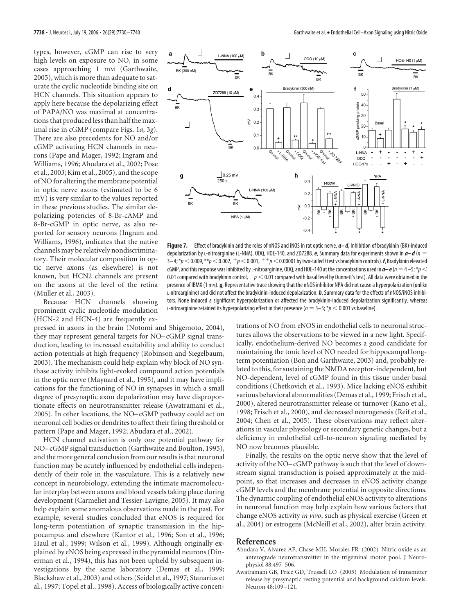types, however, cGMP can rise to very high levels on exposure to NO, in some cases approaching 1 mM (Garthwaite, 2005), which is more than adequate to saturate the cyclic nucleotide binding site on HCN channels. This situation appears to apply here because the depolarizing effect of PAPA/NO was maximal at concentrations that produced less than half the maximal rise in cGMP (compare Figs. 1*a*, 3*g*). There are also precedents for NO and/or cGMP activating HCN channels in neurons (Pape and Mager, 1992; Ingram and Williams, 1996; Abudara et al., 2002; Pose et al., 2003; Kim et al., 2005), and the scope of NO for altering the membrane potential in optic nerve axons (estimated to be 6 mV) is very similar to the values reported in these previous studies. The similar depolarizing potencies of 8-Br-cAMP and 8-Br-cGMP in optic nerve, as also reported for sensory neurons (Ingram and Williams, 1996), indicates that the native channels may be relatively nondiscriminatory. Their molecular composition in optic nerve axons (as elsewhere) is not known, but HCN2 channels are present on the axons at the level of the retina (Muller et al., 2003).

Because HCN channels showing prominent cyclic nucleotide modulation (HCN-2 and HCN-4) are frequently ex-

pressed in axons in the brain (Notomi and Shigemoto, 2004), they may represent general targets for NO–cGMP signal transduction, leading to increased excitability and ability to conduct action potentials at high frequency (Robinson and Siegelbaum, 2003). The mechanism could help explain why block of NO synthase activity inhibits light-evoked compound action potentials in the optic nerve (Maynard et al., 1995), and it may have implications for the functioning of NO in synapses in which a small degree of presynaptic axon depolarization may have disproportionate effects on neurotransmitter release (Awatramani et al., 2005). In other locations, the NO– cGMP pathway could act on neuronal cell bodies or dendrites to affect their firing threshold or pattern (Pape and Mager, 1992; Abudara et al., 2002).

HCN channel activation is only one potential pathway for NO– cGMP signal transduction (Garthwaite and Boulton, 1995), and the more general conclusion from our results is that neuronal function may be acutely influenced by endothelial cells independently of their role in the vasculature. This is a relatively new concept in neurobiology, extending the intimate macromolecular interplay between axons and blood vessels taking place during development (Carmeliet and Tessier-Lavigne, 2005). It may also help explain some anomalous observations made in the past. For example, several studies concluded that eNOS is required for long-term potentiation of synaptic transmission in the hippocampus and elsewhere (Kantor et al., 1996; Son et al., 1996; Haul et al., 1999; Wilson et al., 1999). Although originally explained by eNOS being expressed in the pyramidal neurons (Dinerman et al., 1994), this has not been upheld by subsequent investigations by the same laboratory (Demas et al., 1999; Blackshaw et al., 2003) and others (Seidel et al., 1997; Stanarius et al., 1997; Topel et al., 1998). Access of biologically active concen-



**Figure 7.** Effect of bradykinin and the roles of nNOS and iNOS in rat optic nerve. *a– d*, Inhibition of bradykinin (BK)-induced depolarization by L-nitroarginine (L-NNA), ODQ, HOE-140, and ZD7288. *e*, Summary data for experiments shown in *a– d* (*n* 3–4;  $*p$  < 0.009,  $**p$  < 0.002,  $+p$  < 0.001,  $+p$  < 0.00001 by two-tailed *t* test vs bradykinin controls). **f**, Bradykinin elevated cGMP, and this response was inhibited by u-nitroarginine, ODQ, and HOE-140 at the concentrations used in  $a-e$  ( $n=4-5$ ;  $*p$   $\lt$ 0.01 compared with bradykinin control,  $p < 0.01$  compared with basal level by Dunnett's test). All data were obtained in the presence of IBMX (1 mM). *g*, Representative trace showing that the nNOS inhibitor NPA did not cause a hyperpolarization (unlike L-nitroarginine) and did not affect the bradykinin-induced depolarization. *h*, Summary data for the effects of nNOS/iNOS inhibitors. None induced a significant hyperpolarization or affected the bradykinin-induced depolarization significantly, whereas L-nitroarginine retained its hyperpolarizing effect in their presence ( $n = 3-5$ ; \* $p < 0.001$  vs baseline).

trations of NO from eNOS in endothelial cells to neuronal structures allows the observations to be viewed in a new light. Specifically, endothelium-derived NO becomes a good candidate for maintaining the tonic level of NO needed for hippocampal longterm potentiation (Bon and Garthwaite, 2003) and, probably related to this, for sustaining the NMDA receptor-independent, but NO-dependent, level of cGMP found in this tissue under basal conditions (Chetkovich et al., 1993). Mice lacking eNOS exhibit various behavioral abnormalities (Demas et al., 1999; Frisch et al., 2000), altered neurotransmitter release or turnover (Kano et al., 1998; Frisch et al., 2000), and decreased neurogenesis (Reif et al., 2004; Chen et al., 2005). These observations may reflect alterations in vascular physiology or secondary genetic changes, but a deficiency in endothelial cell-to-neuron signaling mediated by NO now becomes plausible.

Finally, the results on the optic nerve show that the level of activity of the NO– cGMP pathway is such that the level of downstream signal transduction is poised approximately at the midpoint, so that increases and decreases in eNOS activity change cGMP levels and the membrane potential in opposite directions. The dynamic coupling of endothelial eNOS activity to alterations in neuronal function may help explain how various factors that change eNOS activity *in vivo*, such as physical exercise (Green et al., 2004) or estrogens (McNeill et al., 2002), alter brain activity.

## **References**

- Abudara V, Alvarez AF, Chase MH, Morales FR (2002) Nitric oxide as an anterograde neurotransmitter in the trigeminal motor pool. J Neurophysiol 88:497–506.
- Awatramani GB, Price GD, Trussell LO (2005) Modulation of transmitter release by presynaptic resting potential and background calcium levels. Neuron 48:109 –121.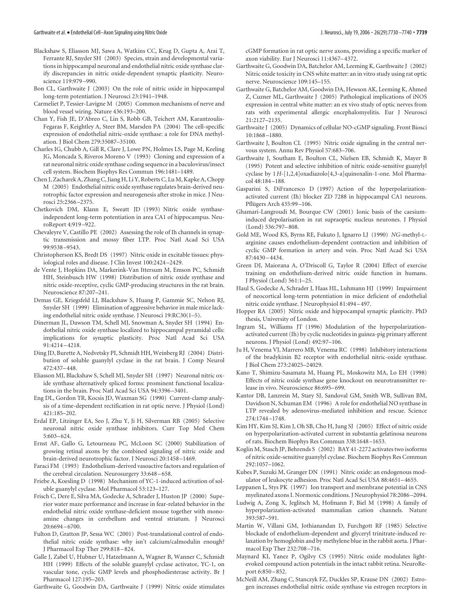- Blackshaw S, Eliasson MJ, Sawa A, Watkins CC, Krug D, Gupta A, Arai T, Ferrante RJ, Snyder SH (2003) Species, strain and developmental variations in hippocampal neuronal and endothelial nitric oxide synthase clarify discrepancies in nitric oxide-dependent synaptic plasticity. Neuroscience 119:979 –990.
- Bon CL, Garthwaite J (2003) On the role of nitric oxide in hippocampal long-term potentiation. J Neurosci 23:1941–1948.
- Carmeliet P, Tessier-Lavigne M (2005) Common mechanisms of nerve and blood vessel wiring. Nature 436:193–200.
- Chan Y, Fish JE, D'Abreo C, Lin S, Robb GB, Teichert AM, Karantzoulis-Fegaras F, Keightley A, Steer BM, Marsden PA (2004) The cell-specific expression of endothelial nitric-oxide synthase: a role for DNA methylation. J Biol Chem 279:35087–35100.
- Charles IG, Chubb A, Gill R, Clare J, Lowe PN, Holmes LS, Page M, Keeling JG, Moncada S, Riveros Moreno V (1993) Cloning and expression of a rat neuronal nitric oxide synthase coding sequence in a baculovirus/insect cell system. Biochem Biophys Res Commun 196:1481–1489.
- Chen J, Zacharek A, Zhang C, Jiang H, Li Y, Roberts C, Lu M, Kapke A, Chopp M (2005) Endothelial nitric oxide synthase regulates brain-derived neurotrophic factor expression and neurogenesis after stroke in mice. J Neurosci 25:2366 –2375.
- Chetkovich DM, Klann E, Sweatt JD (1993) Nitric oxide synthaseindependent long-term potentiation in area CA1 of hippocampus. NeuroReport 4:919 –922.
- Chevaleyre V, Castillo PE (2002) Assessing the role of Ih channels in synaptic transmission and mossy fiber LTP. Proc Natl Acad Sci USA 99:9538 –9543.
- Christopherson KS, Bredt DS (1997) Nitric oxide in excitable tissues: physiological roles and disease. J Clin Invest 100:2424 –2429.
- de Vente J, Hopkins DA, Markerink-Van Ittersum M, Emson PC, Schmidt HH, Steinbusch HW (1998) Distribution of nitric oxide synthase and nitric oxide-receptive, cyclic GMP-producing structures in the rat brain. Neuroscience 87:207–241.
- Demas GE, Kriegsfeld LJ, Blackshaw S, Huang P, Gammie SC, Nelson RJ, Snyder SH (1999) Elimination of aggressive behavior in male mice lacking endothelial nitric oxide synthase. J Neurosci 19:RC30(1–5).
- Dinerman JL, Dawson TM, Schell MJ, Snowman A, Snyder SH (1994) Endothelial nitric oxide synthase localized to hippocampal pyramidal cells: implications for synaptic plasticity. Proc Natl Acad Sci USA 91:4214 –4218.
- Ding JD, Burette A, Nedvetsky PI, Schmidt HH, Weinberg RJ (2004) Distribution of soluble guanylyl cyclase in the rat brain. J Comp Neurol 472:437–448.
- Eliasson MJ, Blackshaw S, Schell MJ, Snyder SH (1997) Neuronal nitric oxide synthase alternatively spliced forms: prominent functional localizations in the brain. Proc Natl Acad Sci USA 94:3396 –3401.
- Eng DL, Gordon TR, Kocsis JD, Waxman SG (1990) Current-clamp analysis of a time-dependent rectification in rat optic nerve. J Physiol (Lond) 421:185–202.
- Erdal EP, Litzinger EA, Seo J, Zhu Y, Ji H, Silverman RB (2005) Selective neuronal nitric oxide synthase inhibitors. Curr Top Med Chem 5:603–624.
- Ernst AF, Gallo G, Letourneau PC, McLoon SC (2000) Stabilization of growing retinal axons by the combined signaling of nitric oxide and brain-derived neurotrophic factor. J Neurosci 20:1458 –1469.
- Faraci FM (1993) Endothelium-derived vasoactive factors and regulation of the cerebral circulation. Neurosurgery 33:648 –658.
- Friebe A, Koesling D (1998) Mechanism of YC-1-induced activation of soluble guanylyl cyclase. Mol Pharmacol 53:123–127.
- Frisch C, Dere E, Silva MA, Godecke A, Schrader J, Huston JP (2000) Superior water maze performance and increase in fear-related behavior in the endothelial nitric oxide synthase-deficient mouse together with monoamine changes in cerebellum and ventral striatum. J Neurosci 20:6694 –6700.
- Fulton D, Gratton JP, Sessa WC (2001) Post-translational control of endothelial nitric oxide synthase: why isn't calcium/calmodulin enough? J Pharmacol Exp Ther 299:818 –824.
- Galle J, Zabel U, Hubner U, Hatzelmann A, Wagner B, Wanner C, Schmidt HH (1999) Effects of the soluble guanylyl cyclase activator, YC-1, on vascular tone, cyclic GMP levels and phosphodiesterase activity. Br J Pharmacol 127:195–203.
- Garthwaite G, Goodwin DA, Garthwaite J (1999) Nitric oxide stimulates

cGMP formation in rat optic nerve axons, providing a specific marker of axon viability. Eur J Neurosci 11:4367–4372.

- Garthwaite G, Goodwin DA, Batchelor AM, Leeming K, Garthwaite J (2002) Nitric oxide toxicity in CNS white matter: an in vitro study using rat optic nerve. Neuroscience 109:145–155.
- Garthwaite G, Batchelor AM, Goodwin DA, Hewson AK, Leeming K, Ahmed Z, Cuzner ML, Garthwaite J (2005) Pathological implications of iNOS expression in central white matter: an ex vivo study of optic nerves from rats with experimental allergic encephalomyelitis. Eur J Neurosci 21:2127–2135.
- Garthwaite J (2005) Dynamics of cellular NO-cGMP signaling. Front Biosci 10:1868 –1880.
- Garthwaite J, Boulton CL (1995) Nitric oxide signaling in the central nervous system. Annu Rev Physiol 57:683–706.
- Garthwaite J, Southam E, Boulton CL, Nielsen EB, Schmidt K, Mayer B (1995) Potent and selective inhibition of nitric oxide-sensitive guanylyl cyclase by 1*H*-[1,2,4]oxadiazolo[4,3-a]quinoxalin-1-one. Mol Pharmacol 48:184 –188.
- Gasparini S, DiFrancesco D (1997) Action of the hyperpolarizationactivated current (Ih) blocker ZD 7288 in hippocampal CA1 neurons. Pflügers Arch 435:99-106.
- Ghamari-Langroudi M, Bourque CW (2001) Ionic basis of the caesiuminduced depolarisation in rat supraoptic nucleus neurones. J Physiol (Lond) 536:797–808.
- Gold ME, Wood KS, Byrns RE, Fukuto J, Ignarro LJ (1990) *NG*-methyl-Larginine causes endothelium-dependent contraction and inhibition of cyclic GMP formation in artery and vein. Proc Natl Acad Sci USA 87:4430 –4434.
- Green DJ, Maiorana A, O'Driscoll G, Taylor R (2004) Effect of exercise training on endothelium-derived nitric oxide function in humans. J Physiol (Lond) 561:1–25.
- Haul S, Godecke A, Schrader J, Haas HL, Luhmann HJ (1999) Impairment of neocortical long-term potentiation in mice deficient of endothelial nitric oxide synthase. J Neurophysiol 81:494 –497.
- Hopper RA (2005) Nitric oxide and hippocampal synaptic plasticity. PhD thesis, University of London.
- Ingram SL, Williams JT (1996) Modulation of the hyperpolarizationactivated current (Ih) by cyclic nucleotides in guinea-pig primary afferent neurons. J Physiol (Lond) 492:97–106.
- Ju H, Venema VJ, Marrero MB, Venema RC (1998) Inhibitory interactions of the bradykinin B2 receptor with endothelial nitric-oxide synthase. J Biol Chem 273:24025–24029.
- Kano T, Shimizu-Sasamata M, Huang PL, Moskowitz MA, Lo EH (1998) Effects of nitric oxide synthase gene knockout on neurotransmitter release in vivo. Neuroscience 86:695–699.
- Kantor DB, Lanzrein M, Stary SJ, Sandoval GM, Smith WB, Sullivan BM, Davidson N, Schuman EM (1996) A role for endothelial NO synthase in LTP revealed by adenovirus-mediated inhibition and rescue. Science 274:1744 –1748.
- Kim HY, Kim SJ, Kim J, Oh SB, Cho H, Jung SJ (2005) Effect of nitric oxide on hyperpolarization-activated current in substantia gelatinosa neurons of rats. Biochem Biophys Res Commun 338:1648 –1653.
- Koglin M, Stasch JP, Behrends S (2002) BAY 41-2272 activates two isoforms of nitric oxide-sensitive guanylyl cyclase. Biochem Biophys Res Commun 292:1057–1062.
- Kubes P, Suzuki M, Granger DN (1991) Nitric oxide: an endogenous modulator of leukocyte adhesion. Proc Natl Acad Sci USA 88:4651–4655.
- Leppanen L, Stys PK (1997) Ion transport and membrane potential in CNS myelinated axons I. Normoxic conditions. J Neurophysiol 78:2086 –2094.
- Ludwig A, Zong X, Jeglitsch M, Hofmann F, Biel M (1998) A family of hyperpolarization-activated mammalian cation channels. Nature 393:587–591.
- Martin W, Villani GM, Jothianandan D, Furchgott RF (1985) Selective blockade of endothelium-dependent and glyceryl trinitrate-induced relaxation by hemoglobin and by methylene blue in the rabbit aorta. J Pharmacol Exp Ther 232:708 –716.
- Maynard KI, Yanez P, Ogilvy CS (1995) Nitric oxide modulates lightevoked compound action potentials in the intact rabbit retina. NeuroReport 6:850 –852.
- McNeill AM, Zhang C, Stanczyk FZ, Duckles SP, Krause DN (2002) Estrogen increases endothelial nitric oxide synthase via estrogen receptors in